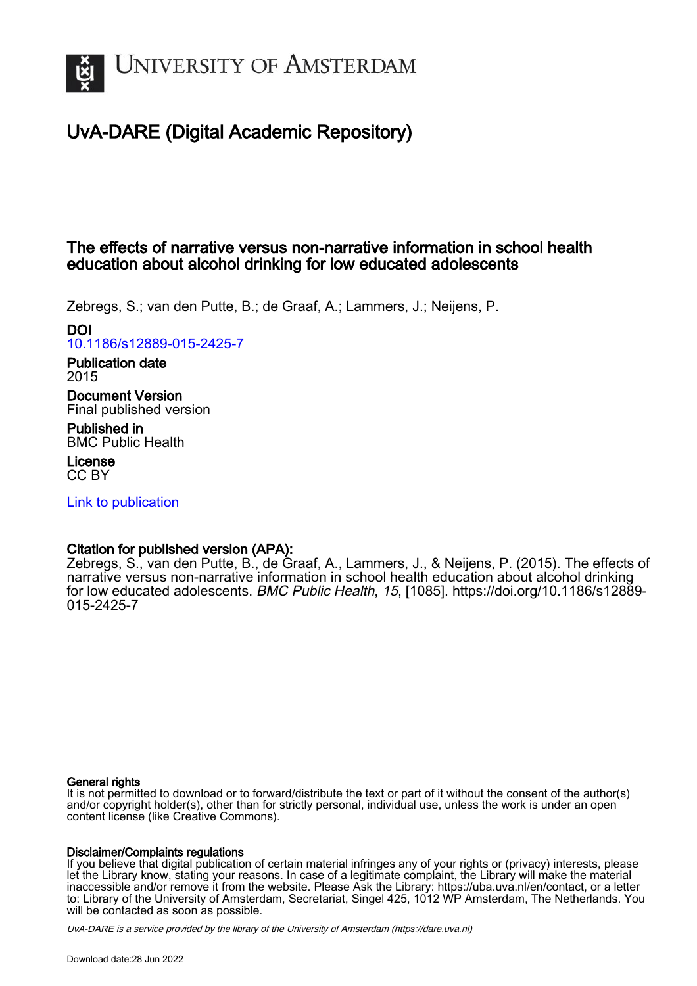

# UvA-DARE (Digital Academic Repository)

# The effects of narrative versus non-narrative information in school health education about alcohol drinking for low educated adolescents

Zebregs, S.; van den Putte, B.; de Graaf, A.; Lammers, J.; Neijens, P.

# DOI

[10.1186/s12889-015-2425-7](https://doi.org/10.1186/s12889-015-2425-7)

Publication date 2015

Document Version Final published version

Published in BMC Public Health

License CC BY

[Link to publication](https://dare.uva.nl/personal/pure/en/publications/the-effects-of-narrative-versus-nonnarrative-information-in-school-health-education-about-alcohol-drinking-for-low-educated-adolescents(95e676c0-5621-4dd4-8d36-fd3593001119).html)

# Citation for published version (APA):

Zebregs, S., van den Putte, B., de Graaf, A., Lammers, J., & Neijens, P. (2015). The effects of narrative versus non-narrative information in school health education about alcohol drinking for low educated adolescents. BMC Public Health, 15, [1085]. [https://doi.org/10.1186/s12889-](https://doi.org/10.1186/s12889-015-2425-7) [015-2425-7](https://doi.org/10.1186/s12889-015-2425-7)

## General rights

It is not permitted to download or to forward/distribute the text or part of it without the consent of the author(s) and/or copyright holder(s), other than for strictly personal, individual use, unless the work is under an open content license (like Creative Commons).

## Disclaimer/Complaints regulations

If you believe that digital publication of certain material infringes any of your rights or (privacy) interests, please let the Library know, stating your reasons. In case of a legitimate complaint, the Library will make the material inaccessible and/or remove it from the website. Please Ask the Library: https://uba.uva.nl/en/contact, or a letter to: Library of the University of Amsterdam, Secretariat, Singel 425, 1012 WP Amsterdam, The Netherlands. You will be contacted as soon as possible.

UvA-DARE is a service provided by the library of the University of Amsterdam (http*s*://dare.uva.nl)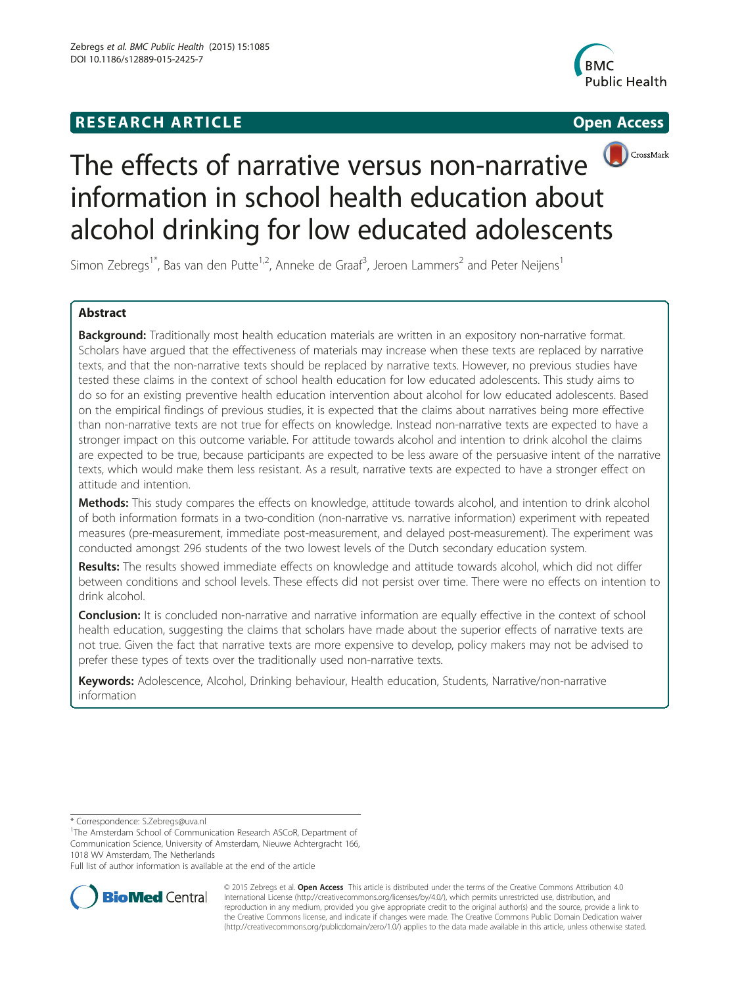# **RESEARCH ARTICLE CONSUMING A RESEARCH ARTICLE**





# The effects of narrative versus non-narrative information in school health education about alcohol drinking for low educated adolescents

Simon Zebregs<sup>1\*</sup>, Bas van den Putte<sup>1,2</sup>, Anneke de Graaf<sup>3</sup>, Jeroen Lammers<sup>2</sup> and Peter Neijens<sup>1</sup>

## Abstract

Background: Traditionally most health education materials are written in an expository non-narrative format. Scholars have argued that the effectiveness of materials may increase when these texts are replaced by narrative texts, and that the non-narrative texts should be replaced by narrative texts. However, no previous studies have tested these claims in the context of school health education for low educated adolescents. This study aims to do so for an existing preventive health education intervention about alcohol for low educated adolescents. Based on the empirical findings of previous studies, it is expected that the claims about narratives being more effective than non-narrative texts are not true for effects on knowledge. Instead non-narrative texts are expected to have a stronger impact on this outcome variable. For attitude towards alcohol and intention to drink alcohol the claims are expected to be true, because participants are expected to be less aware of the persuasive intent of the narrative texts, which would make them less resistant. As a result, narrative texts are expected to have a stronger effect on attitude and intention.

Methods: This study compares the effects on knowledge, attitude towards alcohol, and intention to drink alcohol of both information formats in a two-condition (non-narrative vs. narrative information) experiment with repeated measures (pre-measurement, immediate post-measurement, and delayed post-measurement). The experiment was conducted amongst 296 students of the two lowest levels of the Dutch secondary education system.

Results: The results showed immediate effects on knowledge and attitude towards alcohol, which did not differ between conditions and school levels. These effects did not persist over time. There were no effects on intention to drink alcohol.

Conclusion: It is concluded non-narrative and narrative information are equally effective in the context of school health education, suggesting the claims that scholars have made about the superior effects of narrative texts are not true. Given the fact that narrative texts are more expensive to develop, policy makers may not be advised to prefer these types of texts over the traditionally used non-narrative texts.

Keywords: Adolescence, Alcohol, Drinking behaviour, Health education, Students, Narrative/non-narrative information

\* Correspondence: [S.Zebregs@uva.nl](mailto:S.Zebregs@uva.nl) <sup>1</sup>

<sup>1</sup>The Amsterdam School of Communication Research ASCoR, Department of Communication Science, University of Amsterdam, Nieuwe Achtergracht 166, 1018 WV Amsterdam, The Netherlands

Full list of author information is available at the end of the article



© 2015 Zebregs et al. Open Access This article is distributed under the terms of the Creative Commons Attribution 4.0 International License [\(http://creativecommons.org/licenses/by/4.0/](http://creativecommons.org/licenses/by/4.0/)), which permits unrestricted use, distribution, and reproduction in any medium, provided you give appropriate credit to the original author(s) and the source, provide a link to the Creative Commons license, and indicate if changes were made. The Creative Commons Public Domain Dedication waiver [\(http://creativecommons.org/publicdomain/zero/1.0/](http://creativecommons.org/publicdomain/zero/1.0/)) applies to the data made available in this article, unless otherwise stated.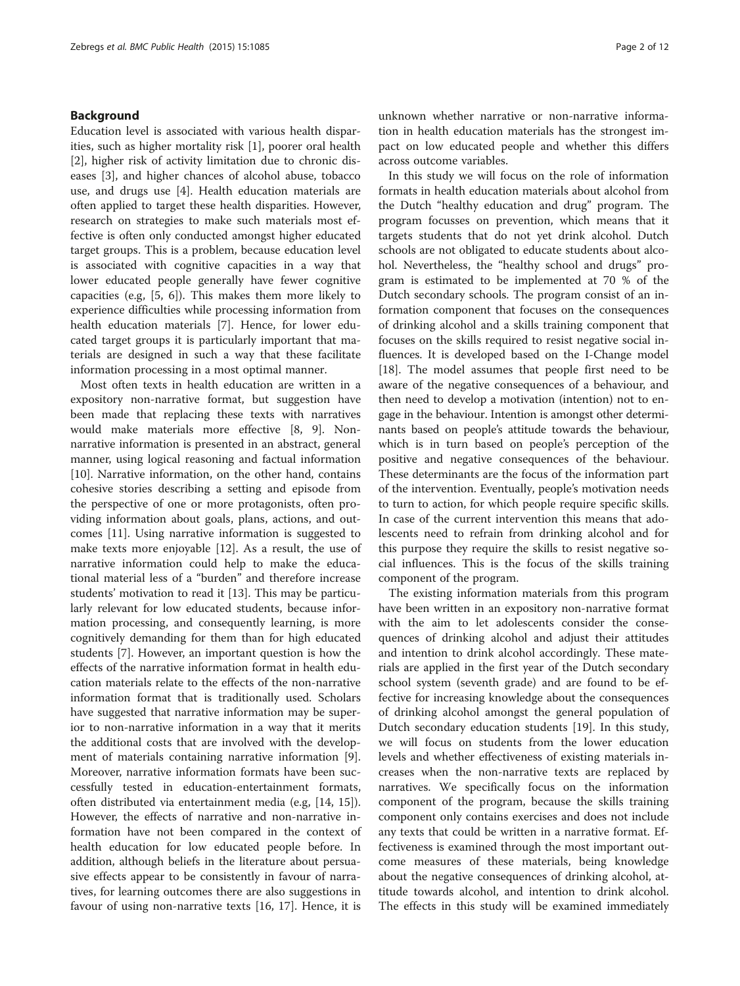#### Background

Education level is associated with various health disparities, such as higher mortality risk [[1\]](#page-11-0), poorer oral health [[2\]](#page-11-0), higher risk of activity limitation due to chronic diseases [[3\]](#page-12-0), and higher chances of alcohol abuse, tobacco use, and drugs use [\[4\]](#page-12-0). Health education materials are often applied to target these health disparities. However, research on strategies to make such materials most effective is often only conducted amongst higher educated target groups. This is a problem, because education level is associated with cognitive capacities in a way that lower educated people generally have fewer cognitive capacities (e.g, [\[5](#page-12-0), [6\]](#page-12-0)). This makes them more likely to experience difficulties while processing information from health education materials [[7\]](#page-12-0). Hence, for lower educated target groups it is particularly important that materials are designed in such a way that these facilitate information processing in a most optimal manner.

Most often texts in health education are written in a expository non-narrative format, but suggestion have been made that replacing these texts with narratives would make materials more effective [[8, 9](#page-12-0)]. Nonnarrative information is presented in an abstract, general manner, using logical reasoning and factual information [[10\]](#page-12-0). Narrative information, on the other hand, contains cohesive stories describing a setting and episode from the perspective of one or more protagonists, often providing information about goals, plans, actions, and outcomes [[11](#page-12-0)]. Using narrative information is suggested to make texts more enjoyable [[12\]](#page-12-0). As a result, the use of narrative information could help to make the educational material less of a "burden" and therefore increase students' motivation to read it [[13\]](#page-12-0). This may be particularly relevant for low educated students, because information processing, and consequently learning, is more cognitively demanding for them than for high educated students [\[7](#page-12-0)]. However, an important question is how the effects of the narrative information format in health education materials relate to the effects of the non-narrative information format that is traditionally used. Scholars have suggested that narrative information may be superior to non-narrative information in a way that it merits the additional costs that are involved with the development of materials containing narrative information [\[9](#page-12-0)]. Moreover, narrative information formats have been successfully tested in education-entertainment formats, often distributed via entertainment media (e.g, [[14, 15](#page-12-0)]). However, the effects of narrative and non-narrative information have not been compared in the context of health education for low educated people before. In addition, although beliefs in the literature about persuasive effects appear to be consistently in favour of narratives, for learning outcomes there are also suggestions in favour of using non-narrative texts [[16](#page-12-0), [17\]](#page-12-0). Hence, it is

unknown whether narrative or non-narrative information in health education materials has the strongest impact on low educated people and whether this differs across outcome variables.

In this study we will focus on the role of information formats in health education materials about alcohol from the Dutch "healthy education and drug" program. The program focusses on prevention, which means that it targets students that do not yet drink alcohol. Dutch schools are not obligated to educate students about alcohol. Nevertheless, the "healthy school and drugs" program is estimated to be implemented at 70 % of the Dutch secondary schools. The program consist of an information component that focuses on the consequences of drinking alcohol and a skills training component that focuses on the skills required to resist negative social influences. It is developed based on the I-Change model [[18\]](#page-12-0). The model assumes that people first need to be aware of the negative consequences of a behaviour, and then need to develop a motivation (intention) not to engage in the behaviour. Intention is amongst other determinants based on people's attitude towards the behaviour, which is in turn based on people's perception of the positive and negative consequences of the behaviour. These determinants are the focus of the information part of the intervention. Eventually, people's motivation needs to turn to action, for which people require specific skills. In case of the current intervention this means that adolescents need to refrain from drinking alcohol and for this purpose they require the skills to resist negative social influences. This is the focus of the skills training component of the program.

The existing information materials from this program have been written in an expository non-narrative format with the aim to let adolescents consider the consequences of drinking alcohol and adjust their attitudes and intention to drink alcohol accordingly. These materials are applied in the first year of the Dutch secondary school system (seventh grade) and are found to be effective for increasing knowledge about the consequences of drinking alcohol amongst the general population of Dutch secondary education students [\[19\]](#page-12-0). In this study, we will focus on students from the lower education levels and whether effectiveness of existing materials increases when the non-narrative texts are replaced by narratives. We specifically focus on the information component of the program, because the skills training component only contains exercises and does not include any texts that could be written in a narrative format. Effectiveness is examined through the most important outcome measures of these materials, being knowledge about the negative consequences of drinking alcohol, attitude towards alcohol, and intention to drink alcohol. The effects in this study will be examined immediately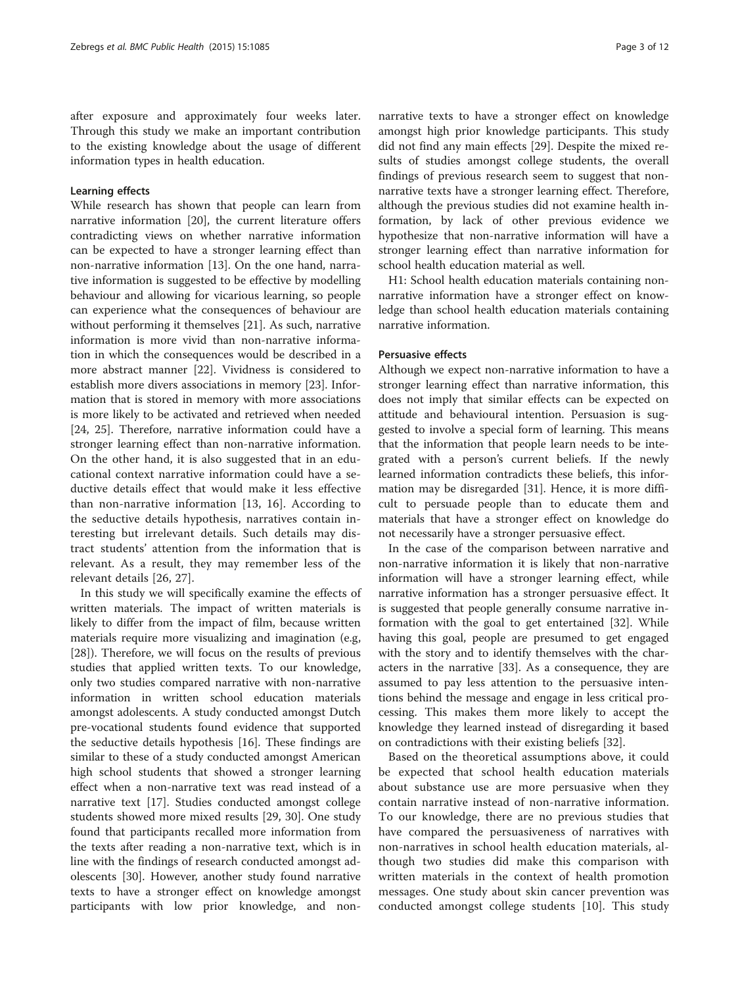after exposure and approximately four weeks later. Through this study we make an important contribution to the existing knowledge about the usage of different information types in health education.

#### Learning effects

While research has shown that people can learn from narrative information [[20\]](#page-12-0), the current literature offers contradicting views on whether narrative information can be expected to have a stronger learning effect than non-narrative information [[13](#page-12-0)]. On the one hand, narrative information is suggested to be effective by modelling behaviour and allowing for vicarious learning, so people can experience what the consequences of behaviour are without performing it themselves [[21\]](#page-12-0). As such, narrative information is more vivid than non-narrative information in which the consequences would be described in a more abstract manner [[22\]](#page-12-0). Vividness is considered to establish more divers associations in memory [[23\]](#page-12-0). Information that is stored in memory with more associations is more likely to be activated and retrieved when needed [[24, 25](#page-12-0)]. Therefore, narrative information could have a stronger learning effect than non-narrative information. On the other hand, it is also suggested that in an educational context narrative information could have a seductive details effect that would make it less effective than non-narrative information [\[13](#page-12-0), [16\]](#page-12-0). According to the seductive details hypothesis, narratives contain interesting but irrelevant details. Such details may distract students' attention from the information that is relevant. As a result, they may remember less of the relevant details [[26, 27](#page-12-0)].

In this study we will specifically examine the effects of written materials. The impact of written materials is likely to differ from the impact of film, because written materials require more visualizing and imagination (e.g, [[28\]](#page-12-0)). Therefore, we will focus on the results of previous studies that applied written texts. To our knowledge, only two studies compared narrative with non-narrative information in written school education materials amongst adolescents. A study conducted amongst Dutch pre-vocational students found evidence that supported the seductive details hypothesis [[16\]](#page-12-0). These findings are similar to these of a study conducted amongst American high school students that showed a stronger learning effect when a non-narrative text was read instead of a narrative text [\[17\]](#page-12-0). Studies conducted amongst college students showed more mixed results [\[29](#page-12-0), [30](#page-12-0)]. One study found that participants recalled more information from the texts after reading a non-narrative text, which is in line with the findings of research conducted amongst adolescents [\[30](#page-12-0)]. However, another study found narrative texts to have a stronger effect on knowledge amongst participants with low prior knowledge, and non-

narrative texts to have a stronger effect on knowledge amongst high prior knowledge participants. This study did not find any main effects [\[29](#page-12-0)]. Despite the mixed results of studies amongst college students, the overall findings of previous research seem to suggest that nonnarrative texts have a stronger learning effect. Therefore, although the previous studies did not examine health information, by lack of other previous evidence we hypothesize that non-narrative information will have a stronger learning effect than narrative information for school health education material as well.

H1: School health education materials containing nonnarrative information have a stronger effect on knowledge than school health education materials containing narrative information.

#### Persuasive effects

Although we expect non-narrative information to have a stronger learning effect than narrative information, this does not imply that similar effects can be expected on attitude and behavioural intention. Persuasion is suggested to involve a special form of learning. This means that the information that people learn needs to be integrated with a person's current beliefs. If the newly learned information contradicts these beliefs, this information may be disregarded [[31](#page-12-0)]. Hence, it is more difficult to persuade people than to educate them and materials that have a stronger effect on knowledge do not necessarily have a stronger persuasive effect.

In the case of the comparison between narrative and non-narrative information it is likely that non-narrative information will have a stronger learning effect, while narrative information has a stronger persuasive effect. It is suggested that people generally consume narrative information with the goal to get entertained [\[32\]](#page-12-0). While having this goal, people are presumed to get engaged with the story and to identify themselves with the characters in the narrative [\[33](#page-12-0)]. As a consequence, they are assumed to pay less attention to the persuasive intentions behind the message and engage in less critical processing. This makes them more likely to accept the knowledge they learned instead of disregarding it based on contradictions with their existing beliefs [[32](#page-12-0)].

Based on the theoretical assumptions above, it could be expected that school health education materials about substance use are more persuasive when they contain narrative instead of non-narrative information. To our knowledge, there are no previous studies that have compared the persuasiveness of narratives with non-narratives in school health education materials, although two studies did make this comparison with written materials in the context of health promotion messages. One study about skin cancer prevention was conducted amongst college students [[10\]](#page-12-0). This study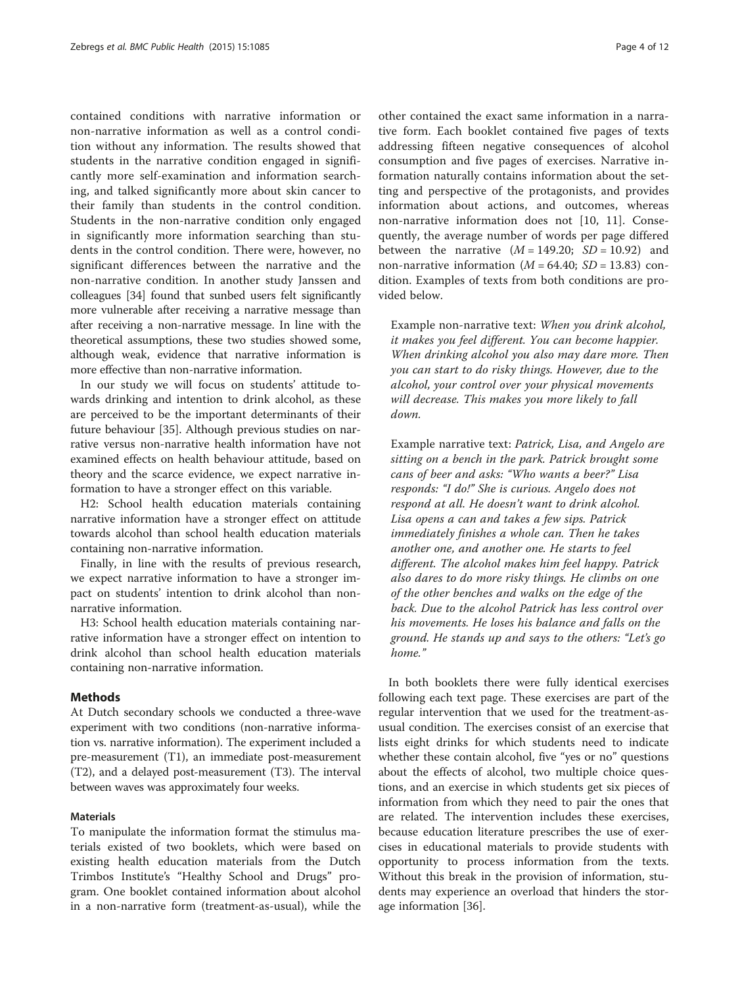contained conditions with narrative information or non-narrative information as well as a control condition without any information. The results showed that students in the narrative condition engaged in significantly more self-examination and information searching, and talked significantly more about skin cancer to their family than students in the control condition. Students in the non-narrative condition only engaged in significantly more information searching than students in the control condition. There were, however, no significant differences between the narrative and the non-narrative condition. In another study Janssen and colleagues [[34](#page-12-0)] found that sunbed users felt significantly more vulnerable after receiving a narrative message than after receiving a non-narrative message. In line with the theoretical assumptions, these two studies showed some, although weak, evidence that narrative information is more effective than non-narrative information.

In our study we will focus on students' attitude towards drinking and intention to drink alcohol, as these are perceived to be the important determinants of their future behaviour [\[35\]](#page-12-0). Although previous studies on narrative versus non-narrative health information have not examined effects on health behaviour attitude, based on theory and the scarce evidence, we expect narrative information to have a stronger effect on this variable.

H2: School health education materials containing narrative information have a stronger effect on attitude towards alcohol than school health education materials containing non-narrative information.

Finally, in line with the results of previous research, we expect narrative information to have a stronger impact on students' intention to drink alcohol than nonnarrative information.

H3: School health education materials containing narrative information have a stronger effect on intention to drink alcohol than school health education materials containing non-narrative information.

#### Methods

At Dutch secondary schools we conducted a three-wave experiment with two conditions (non-narrative information vs. narrative information). The experiment included a pre-measurement (T1), an immediate post-measurement (T2), and a delayed post-measurement (T3). The interval between waves was approximately four weeks.

#### Materials

To manipulate the information format the stimulus materials existed of two booklets, which were based on existing health education materials from the Dutch Trimbos Institute's "Healthy School and Drugs" program. One booklet contained information about alcohol in a non-narrative form (treatment-as-usual), while the

other contained the exact same information in a narrative form. Each booklet contained five pages of texts addressing fifteen negative consequences of alcohol consumption and five pages of exercises. Narrative information naturally contains information about the setting and perspective of the protagonists, and provides information about actions, and outcomes, whereas non-narrative information does not [[10, 11\]](#page-12-0). Consequently, the average number of words per page differed between the narrative  $(M = 149.20; SD = 10.92)$  and non-narrative information ( $M = 64.40$ ;  $SD = 13.83$ ) condition. Examples of texts from both conditions are provided below.

Example non-narrative text: When you drink alcohol, it makes you feel different. You can become happier. When drinking alcohol you also may dare more. Then you can start to do risky things. However, due to the alcohol, your control over your physical movements will decrease. This makes you more likely to fall down.

Example narrative text: Patrick, Lisa, and Angelo are sitting on a bench in the park. Patrick brought some cans of beer and asks: "Who wants a beer?" Lisa responds: "I do!" She is curious. Angelo does not respond at all. He doesn't want to drink alcohol. Lisa opens a can and takes a few sips. Patrick immediately finishes a whole can. Then he takes another one, and another one. He starts to feel different. The alcohol makes him feel happy. Patrick also dares to do more risky things. He climbs on one of the other benches and walks on the edge of the back. Due to the alcohol Patrick has less control over his movements. He loses his balance and falls on the ground. He stands up and says to the others: "Let's go home."

In both booklets there were fully identical exercises following each text page. These exercises are part of the regular intervention that we used for the treatment-asusual condition. The exercises consist of an exercise that lists eight drinks for which students need to indicate whether these contain alcohol, five "yes or no" questions about the effects of alcohol, two multiple choice questions, and an exercise in which students get six pieces of information from which they need to pair the ones that are related. The intervention includes these exercises, because education literature prescribes the use of exercises in educational materials to provide students with opportunity to process information from the texts. Without this break in the provision of information, students may experience an overload that hinders the storage information [[36\]](#page-12-0).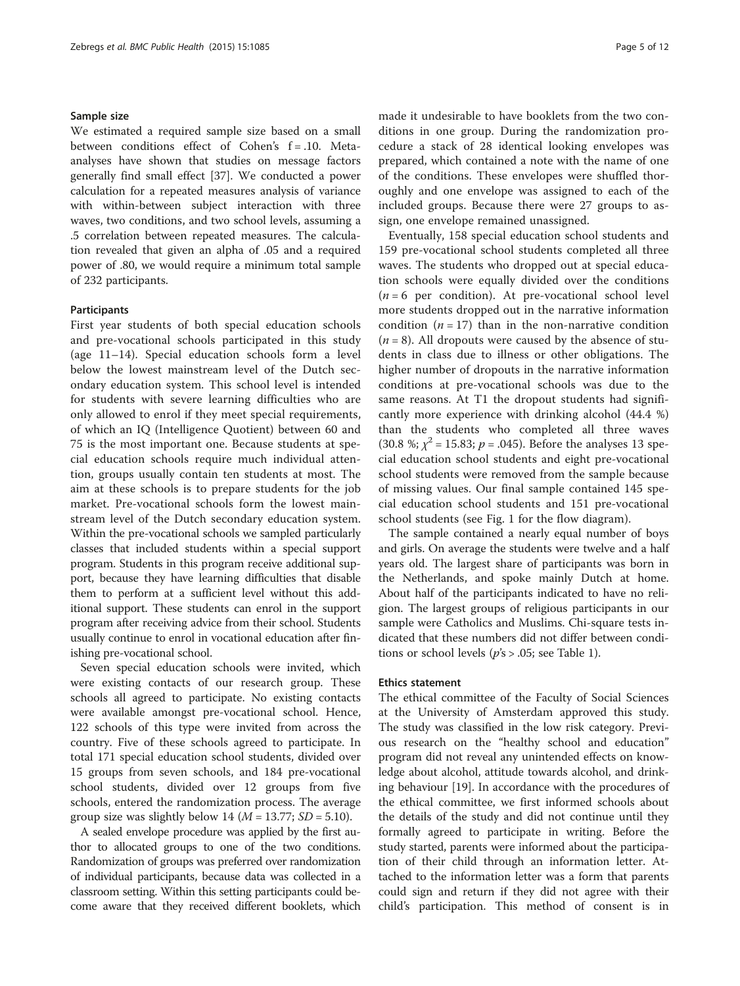#### Sample size

We estimated a required sample size based on a small between conditions effect of Cohen's f = .10. Metaanalyses have shown that studies on message factors generally find small effect [\[37](#page-12-0)]. We conducted a power calculation for a repeated measures analysis of variance with within-between subject interaction with three waves, two conditions, and two school levels, assuming a .5 correlation between repeated measures. The calculation revealed that given an alpha of .05 and a required power of .80, we would require a minimum total sample of 232 participants.

#### Participants

First year students of both special education schools and pre-vocational schools participated in this study (age 11–14). Special education schools form a level below the lowest mainstream level of the Dutch secondary education system. This school level is intended for students with severe learning difficulties who are only allowed to enrol if they meet special requirements, of which an IQ (Intelligence Quotient) between 60 and 75 is the most important one. Because students at special education schools require much individual attention, groups usually contain ten students at most. The aim at these schools is to prepare students for the job market. Pre-vocational schools form the lowest mainstream level of the Dutch secondary education system. Within the pre-vocational schools we sampled particularly classes that included students within a special support program. Students in this program receive additional support, because they have learning difficulties that disable them to perform at a sufficient level without this additional support. These students can enrol in the support program after receiving advice from their school. Students usually continue to enrol in vocational education after finishing pre-vocational school.

Seven special education schools were invited, which were existing contacts of our research group. These schools all agreed to participate. No existing contacts were available amongst pre-vocational school. Hence, 122 schools of this type were invited from across the country. Five of these schools agreed to participate. In total 171 special education school students, divided over 15 groups from seven schools, and 184 pre-vocational school students, divided over 12 groups from five schools, entered the randomization process. The average group size was slightly below 14 ( $M = 13.77$ ;  $SD = 5.10$ ).

A sealed envelope procedure was applied by the first author to allocated groups to one of the two conditions. Randomization of groups was preferred over randomization of individual participants, because data was collected in a classroom setting. Within this setting participants could become aware that they received different booklets, which made it undesirable to have booklets from the two conditions in one group. During the randomization procedure a stack of 28 identical looking envelopes was prepared, which contained a note with the name of one of the conditions. These envelopes were shuffled thoroughly and one envelope was assigned to each of the included groups. Because there were 27 groups to assign, one envelope remained unassigned.

Eventually, 158 special education school students and 159 pre-vocational school students completed all three waves. The students who dropped out at special education schools were equally divided over the conditions  $(n = 6$  per condition). At pre-vocational school level more students dropped out in the narrative information condition  $(n = 17)$  than in the non-narrative condition  $(n = 8)$ . All dropouts were caused by the absence of students in class due to illness or other obligations. The higher number of dropouts in the narrative information conditions at pre-vocational schools was due to the same reasons. At T1 the dropout students had significantly more experience with drinking alcohol (44.4 %) than the students who completed all three waves (30.8 %;  $\chi^2$  = 15.83;  $p$  = .045). Before the analyses 13 special education school students and eight pre-vocational school students were removed from the sample because of missing values. Our final sample contained 145 special education school students and 151 pre-vocational school students (see Fig. [1](#page-6-0) for the flow diagram).

The sample contained a nearly equal number of boys and girls. On average the students were twelve and a half years old. The largest share of participants was born in the Netherlands, and spoke mainly Dutch at home. About half of the participants indicated to have no religion. The largest groups of religious participants in our sample were Catholics and Muslims. Chi-square tests indicated that these numbers did not differ between conditions or school levels ( $p's > .05$ ; see Table [1](#page-7-0)).

#### Ethics statement

The ethical committee of the Faculty of Social Sciences at the University of Amsterdam approved this study. The study was classified in the low risk category. Previous research on the "healthy school and education" program did not reveal any unintended effects on knowledge about alcohol, attitude towards alcohol, and drinking behaviour [[19\]](#page-12-0). In accordance with the procedures of the ethical committee, we first informed schools about the details of the study and did not continue until they formally agreed to participate in writing. Before the study started, parents were informed about the participation of their child through an information letter. Attached to the information letter was a form that parents could sign and return if they did not agree with their child's participation. This method of consent is in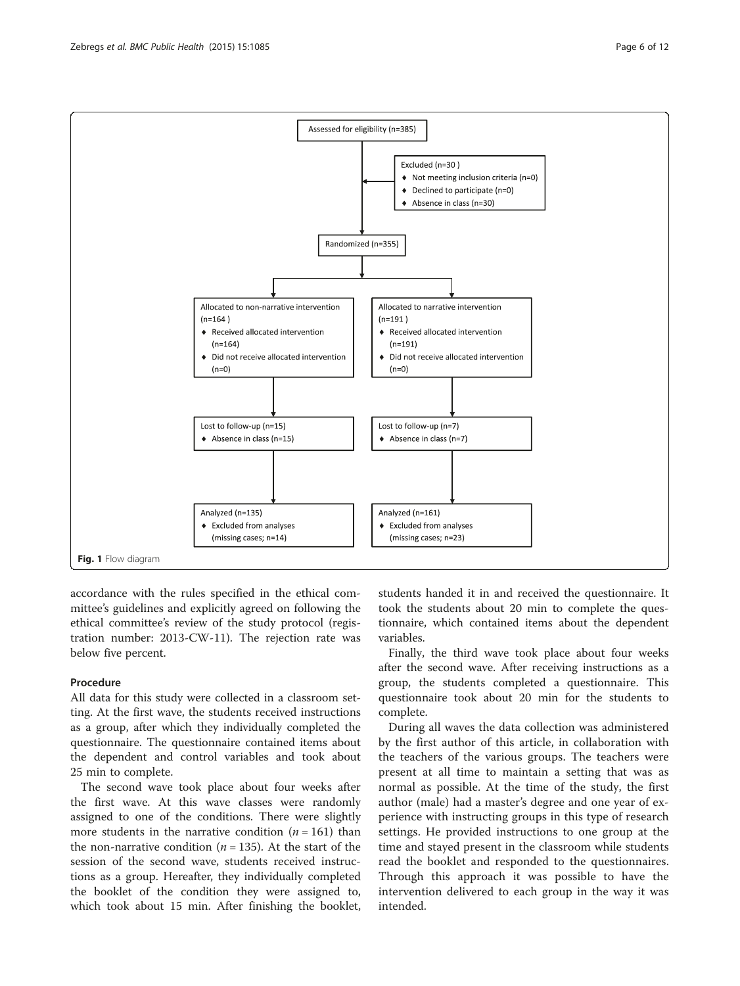<span id="page-6-0"></span>

accordance with the rules specified in the ethical committee's guidelines and explicitly agreed on following the ethical committee's review of the study protocol (registration number: 2013-CW-11). The rejection rate was below five percent.

#### Procedure

All data for this study were collected in a classroom setting. At the first wave, the students received instructions as a group, after which they individually completed the questionnaire. The questionnaire contained items about the dependent and control variables and took about 25 min to complete.

The second wave took place about four weeks after the first wave. At this wave classes were randomly assigned to one of the conditions. There were slightly more students in the narrative condition  $(n = 161)$  than the non-narrative condition ( $n = 135$ ). At the start of the session of the second wave, students received instructions as a group. Hereafter, they individually completed the booklet of the condition they were assigned to, which took about 15 min. After finishing the booklet, students handed it in and received the questionnaire. It took the students about 20 min to complete the questionnaire, which contained items about the dependent variables.

Finally, the third wave took place about four weeks after the second wave. After receiving instructions as a group, the students completed a questionnaire. This questionnaire took about 20 min for the students to complete.

During all waves the data collection was administered by the first author of this article, in collaboration with the teachers of the various groups. The teachers were present at all time to maintain a setting that was as normal as possible. At the time of the study, the first author (male) had a master's degree and one year of experience with instructing groups in this type of research settings. He provided instructions to one group at the time and stayed present in the classroom while students read the booklet and responded to the questionnaires. Through this approach it was possible to have the intervention delivered to each group in the way it was intended.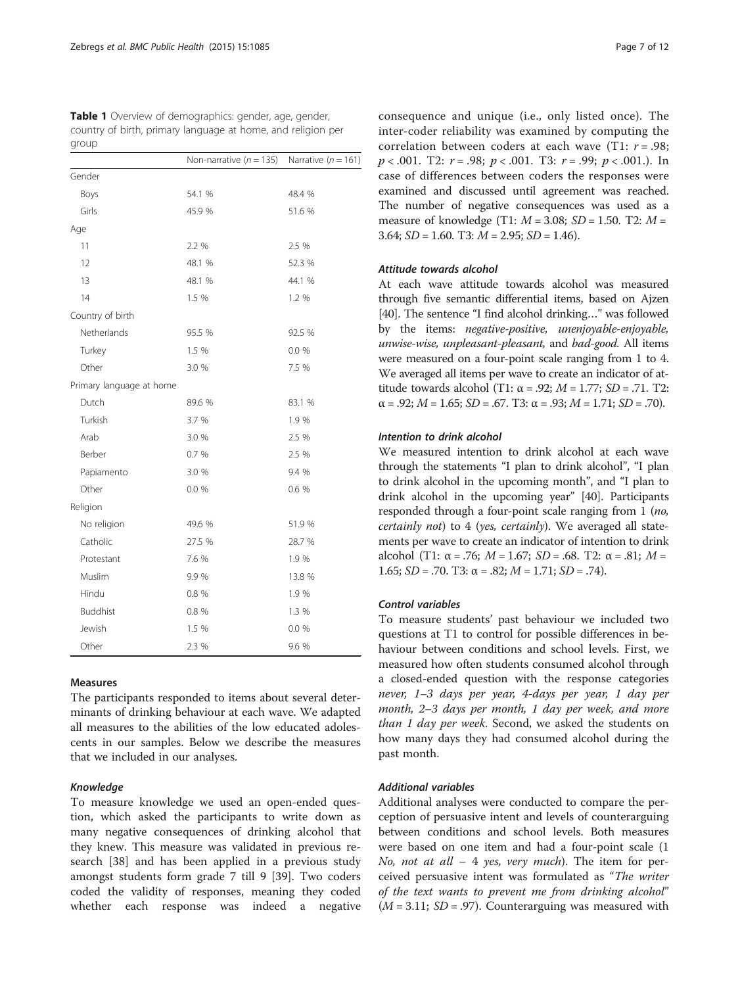<span id="page-7-0"></span>

| <b>Table 1</b> Overview of demographics: gender, age, gender, |
|---------------------------------------------------------------|
| country of birth, primary language at home, and religion per  |
| group                                                         |

|                          | Non-narrative $(n = 135)$ | Narrative ( $n = 161$ ) |  |
|--------------------------|---------------------------|-------------------------|--|
| Gender                   |                           |                         |  |
| Boys                     | 54.1 %                    | 48.4 %                  |  |
| Girls                    | 45.9 %                    | 51.6 %                  |  |
| Age                      |                           |                         |  |
| 11                       | 2.2 %                     | 2.5 %                   |  |
| 12                       | 48.1 %                    | 52.3 %                  |  |
| 13                       | 48.1 %                    | 44.1 %                  |  |
| 14                       | 1.5 %                     | 1.2 %                   |  |
| Country of birth         |                           |                         |  |
| Netherlands              | 95.5 %                    | 92.5 %                  |  |
| Turkey                   | 1.5 %                     | 0.0%                    |  |
| Other                    | 3.0 %                     | 7.5 %                   |  |
| Primary language at home |                           |                         |  |
| Dutch                    | 89.6 %                    | 83.1 %                  |  |
| Turkish                  | 3.7 %                     | 1.9%                    |  |
| Arab                     | 3.0 %                     | 2.5 %                   |  |
| Berber                   | 0.7%                      | 2.5 %                   |  |
| Papiamento               | 3.0 %                     | 9.4 %                   |  |
| Other                    | 0.0 %                     | 0.6 %                   |  |
| Religion                 |                           |                         |  |
| No religion              | 49.6 %                    | 51.9 %                  |  |
| Catholic                 | 27.5 %                    | 28.7 %                  |  |
| Protestant               | 7.6 %                     | 1.9%                    |  |
| Muslim                   | 9.9 %                     | 13.8 %                  |  |
| Hindu                    | 0.8 %                     | 1.9%                    |  |
| <b>Buddhist</b>          | 0.8 %                     | 1.3 %                   |  |
| Jewish                   | 1.5 %                     | 0.0%                    |  |
| Other                    | 2.3 %                     | 9.6 %                   |  |

#### Measures

The participants responded to items about several determinants of drinking behaviour at each wave. We adapted all measures to the abilities of the low educated adolescents in our samples. Below we describe the measures that we included in our analyses.

#### Knowledge

To measure knowledge we used an open-ended question, which asked the participants to write down as many negative consequences of drinking alcohol that they knew. This measure was validated in previous research [[38\]](#page-12-0) and has been applied in a previous study amongst students form grade 7 till 9 [[39\]](#page-12-0). Two coders coded the validity of responses, meaning they coded whether each response was indeed a negative

consequence and unique (i.e., only listed once). The inter-coder reliability was examined by computing the correlation between coders at each wave (T1:  $r = .98$ ;  $p < .001$ . T2:  $r = .98$ ;  $p < .001$ . T3:  $r = .99$ ;  $p < .001$ .). In case of differences between coders the responses were examined and discussed until agreement was reached. The number of negative consequences was used as a measure of knowledge (T1:  $M = 3.08$ ; SD = 1.50. T2:  $M =$ 3.64;  $SD = 1.60$ . T3:  $M = 2.95$ ;  $SD = 1.46$ ).

#### Attitude towards alcohol

At each wave attitude towards alcohol was measured through five semantic differential items, based on Ajzen [[40](#page-12-0)]. The sentence "I find alcohol drinking…" was followed by the items: negative-positive, unenjoyable-enjoyable, unwise-wise, unpleasant-pleasant, and bad-good. All items were measured on a four-point scale ranging from 1 to 4. We averaged all items per wave to create an indicator of attitude towards alcohol (T1:  $\alpha$  = .92;  $M = 1.77$ ;  $SD = .71$ . T2:  $\alpha = .92; M = 1.65; SD = .67.$  T3:  $\alpha = .93; M = 1.71; SD = .70$ .

#### Intention to drink alcohol

We measured intention to drink alcohol at each wave through the statements "I plan to drink alcohol", "I plan to drink alcohol in the upcoming month", and "I plan to drink alcohol in the upcoming year" [\[40\]](#page-12-0). Participants responded through a four-point scale ranging from 1 (no, certainly not) to 4 (yes, certainly). We averaged all statements per wave to create an indicator of intention to drink alcohol (T1:  $\alpha = .76$ ;  $M = 1.67$ ;  $SD = .68$ . T2:  $\alpha = .81$ ;  $M =$ 1.65;  $SD = .70$ . T3:  $\alpha = .82$ ;  $M = 1.71$ ;  $SD = .74$ ).

#### Control variables

To measure students' past behaviour we included two questions at T1 to control for possible differences in behaviour between conditions and school levels. First, we measured how often students consumed alcohol through a closed-ended question with the response categories never, 1–3 days per year, 4-days per year, 1 day per month, 2–3 days per month, 1 day per week, and more than 1 day per week. Second, we asked the students on how many days they had consumed alcohol during the past month.

#### Additional variables

Additional analyses were conducted to compare the perception of persuasive intent and levels of counterarguing between conditions and school levels. Both measures were based on one item and had a four-point scale (1 No, not at all  $-4$  yes, very much). The item for perceived persuasive intent was formulated as "The writer of the text wants to prevent me from drinking alcohol"  $(M = 3.11; SD = .97)$ . Counterarguing was measured with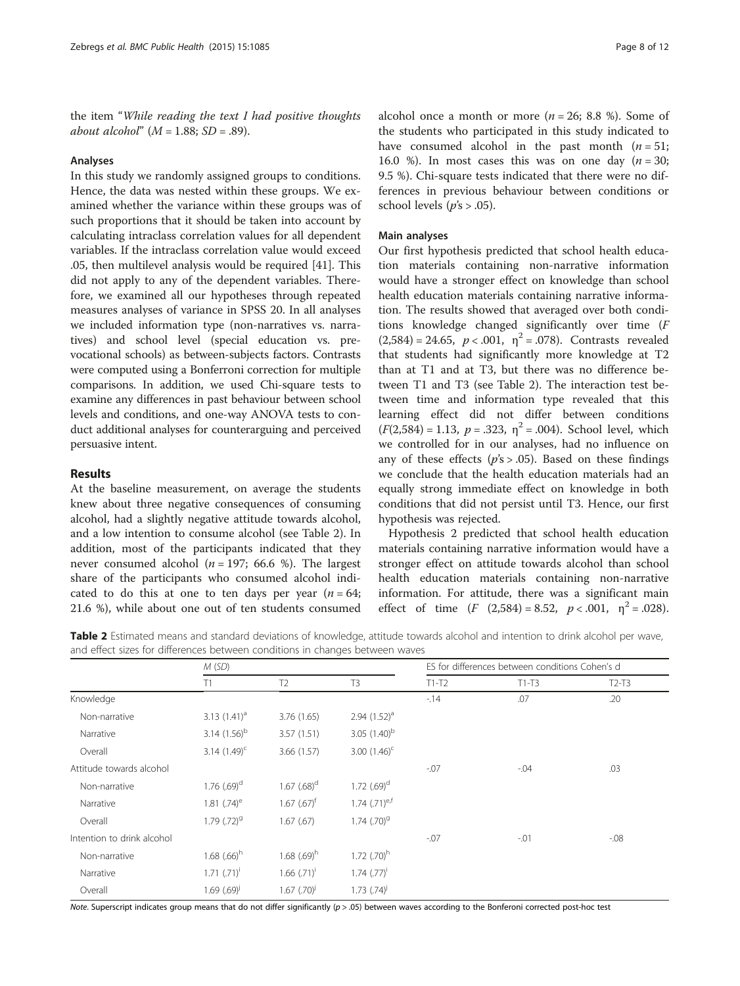<span id="page-8-0"></span>the item "While reading the text I had positive thoughts about alcohol" ( $M = 1.88$ ; SD = .89).

#### Analyses

In this study we randomly assigned groups to conditions. Hence, the data was nested within these groups. We examined whether the variance within these groups was of such proportions that it should be taken into account by calculating intraclass correlation values for all dependent variables. If the intraclass correlation value would exceed .05, then multilevel analysis would be required [\[41](#page-12-0)]. This did not apply to any of the dependent variables. Therefore, we examined all our hypotheses through repeated measures analyses of variance in SPSS 20. In all analyses we included information type (non-narratives vs. narratives) and school level (special education vs. prevocational schools) as between-subjects factors. Contrasts were computed using a Bonferroni correction for multiple comparisons. In addition, we used Chi-square tests to examine any differences in past behaviour between school levels and conditions, and one-way ANOVA tests to conduct additional analyses for counterarguing and perceived persuasive intent.

#### Results

At the baseline measurement, on average the students knew about three negative consequences of consuming alcohol, had a slightly negative attitude towards alcohol, and a low intention to consume alcohol (see Table 2). In addition, most of the participants indicated that they never consumed alcohol ( $n = 197$ ; 66.6 %). The largest share of the participants who consumed alcohol indicated to do this at one to ten days per year  $(n = 64;$ 21.6 %), while about one out of ten students consumed

alcohol once a month or more  $(n = 26; 8.8 \%)$ . Some of the students who participated in this study indicated to have consumed alcohol in the past month  $(n = 51)$ ; 16.0 %). In most cases this was on one day  $(n = 30;$ 9.5 %). Chi-square tests indicated that there were no differences in previous behaviour between conditions or school levels ( $p's > .05$ ).

#### Main analyses

Our first hypothesis predicted that school health education materials containing non-narrative information would have a stronger effect on knowledge than school health education materials containing narrative information. The results showed that averaged over both conditions knowledge changed significantly over time (F  $(2,584) = 24.65$ ,  $p < .001$ ,  $\eta^2 = .078$ ). Contrasts revealed that students had significantly more knowledge at T2 than at T1 and at T3, but there was no difference between T1 and T3 (see Table 2). The interaction test between time and information type revealed that this learning effect did not differ between conditions  $(F(2,584) = 1.13, p = .323, \eta^2 = .004)$ . School level, which we controlled for in our analyses, had no influence on any of these effects  $(p's > .05)$ . Based on these findings we conclude that the health education materials had an equally strong immediate effect on knowledge in both conditions that did not persist until T3. Hence, our first hypothesis was rejected.

Hypothesis 2 predicted that school health education materials containing narrative information would have a stronger effect on attitude towards alcohol than school health education materials containing non-narrative information. For attitude, there was a significant main effect of time  $(F (2,584) = 8.52, p < .001, \eta^2 = .028)$ .

Table 2 Estimated means and standard deviations of knowledge, attitude towards alcohol and intention to drink alcohol per wave, and effect sizes for differences between conditions in changes between waves

|                            | M(SD)                       |                             |                             | ES for differences between conditions Cohen's d |         |         |
|----------------------------|-----------------------------|-----------------------------|-----------------------------|-------------------------------------------------|---------|---------|
|                            | T1                          | T <sub>2</sub>              | T <sub>3</sub>              | $T1-T2$                                         | $T1-T3$ | $T2-T3$ |
| Knowledge                  |                             |                             |                             | $-14$                                           | .07     | .20     |
| Non-narrative              | 3.13 $(1.41)^a$             | 3.76(1.65)                  | 2.94 $(1.52)^a$             |                                                 |         |         |
| Narrative                  | 3.14 $(1.56)^b$             | 3.57(1.51)                  | 3.05 $(1.40)^b$             |                                                 |         |         |
| Overall                    | 3.14 $(1.49)^{c}$           | 3.66 (1.57)                 | 3.00 $(1.46)^c$             |                                                 |         |         |
| Attitude towards alcohol   |                             |                             |                             | $-07$                                           | $-0.04$ | .03     |
| Non-narrative              | $1.76$ (.69) <sup>d</sup>   | $1.67$ $(.68)^d$            | $1.72$ (.69) <sup>d</sup>   |                                                 |         |         |
| Narrative                  | 1.81 $(.74)$ <sup>e</sup>   | $1.67$ $(.67)$ <sup>†</sup> | 1.74 $(.71)^{e,f}$          |                                                 |         |         |
| Overall                    | $1.79$ $(.72)^{9}$          | 1.67(67)                    | $1.74$ $(.70)^{9}$          |                                                 |         |         |
| Intention to drink alcohol |                             |                             |                             | $-07$                                           | $-.01$  | $-0.08$ |
| Non-narrative              | 1.68 $(.66)^h$              | 1.68 $(.69)^h$              | 1.72 $(.70)^h$              |                                                 |         |         |
| Narrative                  | $1.71$ $(.71)$ <sup>1</sup> | $1.66$ $(.71)^{1}$          | $1.74$ $(.77)$ <sup>i</sup> |                                                 |         |         |
| Overall                    | $1.69(.69)^{j}$             | $1.67$ (.70) <sup>j</sup>   | $1.73$ $(.74)$ <sup>j</sup> |                                                 |         |         |

Note. Superscript indicates group means that do not differ significantly (p > .05) between waves according to the Bonferoni corrected post-hoc test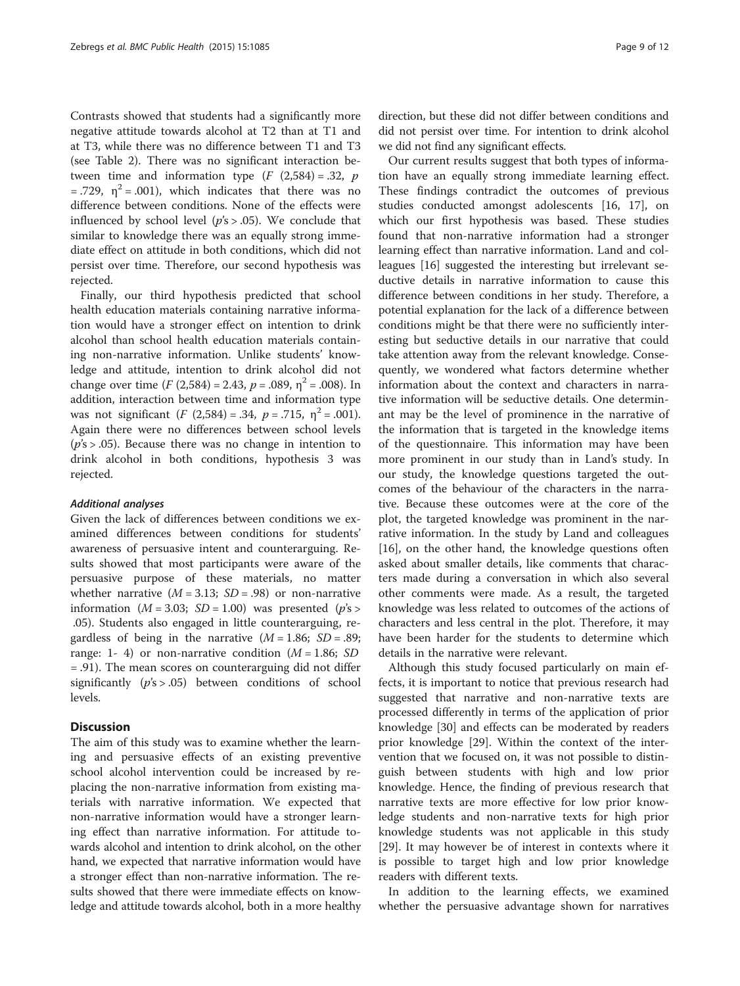Contrasts showed that students had a significantly more negative attitude towards alcohol at T2 than at T1 and at T3, while there was no difference between T1 and T3 (see Table [2](#page-8-0)). There was no significant interaction between time and information type  $(F (2,584) = .32, p)$ = .729,  $\eta^2$  = .001), which indicates that there was no difference between conditions. None of the effects were influenced by school level ( $p's > .05$ ). We conclude that similar to knowledge there was an equally strong immediate effect on attitude in both conditions, which did not persist over time. Therefore, our second hypothesis was rejected.

Finally, our third hypothesis predicted that school health education materials containing narrative information would have a stronger effect on intention to drink alcohol than school health education materials containing non-narrative information. Unlike students' knowledge and attitude, intention to drink alcohol did not change over time  $(F (2, 584) = 2.43, p = .089, \eta^2 = .008)$ . In addition, interaction between time and information type was not significant  $(F (2,584) = .34, p = .715, \eta^2 = .001)$ . Again there were no differences between school levels  $(p's > .05)$ . Because there was no change in intention to drink alcohol in both conditions, hypothesis 3 was rejected.

#### Additional analyses

Given the lack of differences between conditions we examined differences between conditions for students' awareness of persuasive intent and counterarguing. Results showed that most participants were aware of the persuasive purpose of these materials, no matter whether narrative  $(M = 3.13; SD = .98)$  or non-narrative information  $(M = 3.03; SD = 1.00)$  was presented  $(p's >$ .05). Students also engaged in little counterarguing, regardless of being in the narrative  $(M = 1.86; SD = .89;$ range: 1-4) or non-narrative condition  $(M = 1.86; SD)$ = .91). The mean scores on counterarguing did not differ significantly  $(p's > .05)$  between conditions of school levels.

#### **Discussion**

The aim of this study was to examine whether the learning and persuasive effects of an existing preventive school alcohol intervention could be increased by replacing the non-narrative information from existing materials with narrative information. We expected that non-narrative information would have a stronger learning effect than narrative information. For attitude towards alcohol and intention to drink alcohol, on the other hand, we expected that narrative information would have a stronger effect than non-narrative information. The results showed that there were immediate effects on knowledge and attitude towards alcohol, both in a more healthy

direction, but these did not differ between conditions and did not persist over time. For intention to drink alcohol we did not find any significant effects.

Our current results suggest that both types of information have an equally strong immediate learning effect. These findings contradict the outcomes of previous studies conducted amongst adolescents [\[16](#page-12-0), [17\]](#page-12-0), on which our first hypothesis was based. These studies found that non-narrative information had a stronger learning effect than narrative information. Land and colleagues [\[16](#page-12-0)] suggested the interesting but irrelevant seductive details in narrative information to cause this difference between conditions in her study. Therefore, a potential explanation for the lack of a difference between conditions might be that there were no sufficiently interesting but seductive details in our narrative that could take attention away from the relevant knowledge. Consequently, we wondered what factors determine whether information about the context and characters in narrative information will be seductive details. One determinant may be the level of prominence in the narrative of the information that is targeted in the knowledge items of the questionnaire. This information may have been more prominent in our study than in Land's study. In our study, the knowledge questions targeted the outcomes of the behaviour of the characters in the narrative. Because these outcomes were at the core of the plot, the targeted knowledge was prominent in the narrative information. In the study by Land and colleagues [[16\]](#page-12-0), on the other hand, the knowledge questions often asked about smaller details, like comments that characters made during a conversation in which also several other comments were made. As a result, the targeted knowledge was less related to outcomes of the actions of characters and less central in the plot. Therefore, it may have been harder for the students to determine which details in the narrative were relevant.

Although this study focused particularly on main effects, it is important to notice that previous research had suggested that narrative and non-narrative texts are processed differently in terms of the application of prior knowledge [[30\]](#page-12-0) and effects can be moderated by readers prior knowledge [[29\]](#page-12-0). Within the context of the intervention that we focused on, it was not possible to distinguish between students with high and low prior knowledge. Hence, the finding of previous research that narrative texts are more effective for low prior knowledge students and non-narrative texts for high prior knowledge students was not applicable in this study [[29\]](#page-12-0). It may however be of interest in contexts where it is possible to target high and low prior knowledge readers with different texts.

In addition to the learning effects, we examined whether the persuasive advantage shown for narratives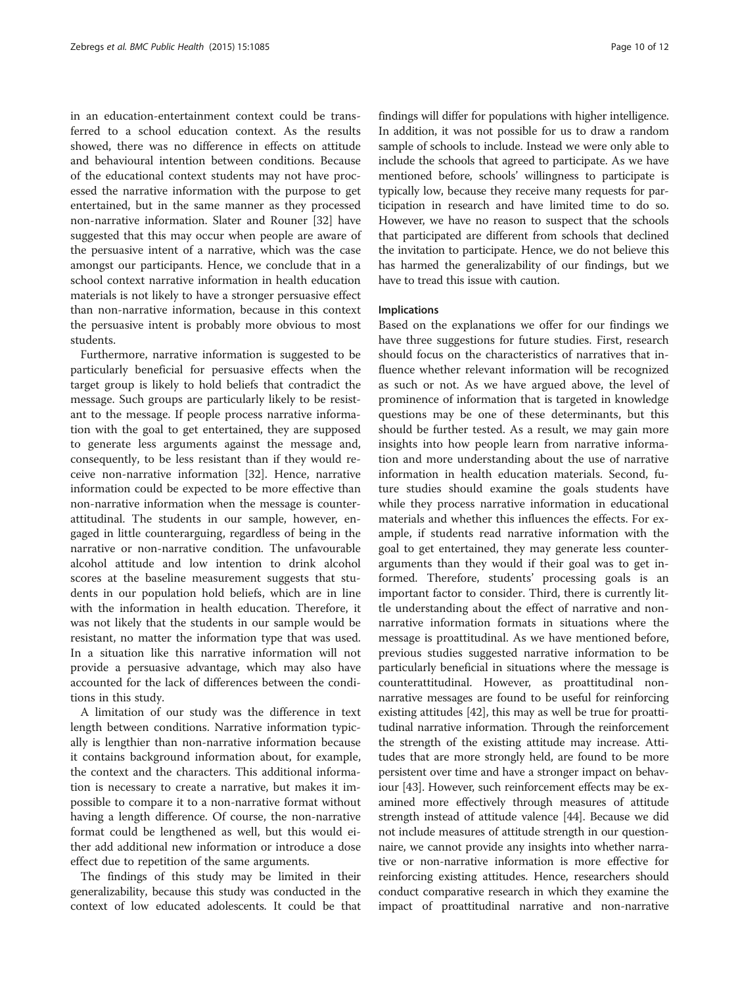in an education-entertainment context could be transferred to a school education context. As the results showed, there was no difference in effects on attitude and behavioural intention between conditions. Because of the educational context students may not have processed the narrative information with the purpose to get entertained, but in the same manner as they processed non-narrative information. Slater and Rouner [[32\]](#page-12-0) have suggested that this may occur when people are aware of the persuasive intent of a narrative, which was the case amongst our participants. Hence, we conclude that in a school context narrative information in health education materials is not likely to have a stronger persuasive effect than non-narrative information, because in this context the persuasive intent is probably more obvious to most students.

Furthermore, narrative information is suggested to be particularly beneficial for persuasive effects when the target group is likely to hold beliefs that contradict the message. Such groups are particularly likely to be resistant to the message. If people process narrative information with the goal to get entertained, they are supposed to generate less arguments against the message and, consequently, to be less resistant than if they would receive non-narrative information [\[32](#page-12-0)]. Hence, narrative information could be expected to be more effective than non-narrative information when the message is counterattitudinal. The students in our sample, however, engaged in little counterarguing, regardless of being in the narrative or non-narrative condition. The unfavourable alcohol attitude and low intention to drink alcohol scores at the baseline measurement suggests that students in our population hold beliefs, which are in line with the information in health education. Therefore, it was not likely that the students in our sample would be resistant, no matter the information type that was used. In a situation like this narrative information will not provide a persuasive advantage, which may also have accounted for the lack of differences between the conditions in this study.

A limitation of our study was the difference in text length between conditions. Narrative information typically is lengthier than non-narrative information because it contains background information about, for example, the context and the characters. This additional information is necessary to create a narrative, but makes it impossible to compare it to a non-narrative format without having a length difference. Of course, the non-narrative format could be lengthened as well, but this would either add additional new information or introduce a dose effect due to repetition of the same arguments.

The findings of this study may be limited in their generalizability, because this study was conducted in the context of low educated adolescents. It could be that

findings will differ for populations with higher intelligence. In addition, it was not possible for us to draw a random sample of schools to include. Instead we were only able to include the schools that agreed to participate. As we have mentioned before, schools' willingness to participate is typically low, because they receive many requests for participation in research and have limited time to do so. However, we have no reason to suspect that the schools that participated are different from schools that declined the invitation to participate. Hence, we do not believe this has harmed the generalizability of our findings, but we have to tread this issue with caution.

#### Implications

Based on the explanations we offer for our findings we have three suggestions for future studies. First, research should focus on the characteristics of narratives that influence whether relevant information will be recognized as such or not. As we have argued above, the level of prominence of information that is targeted in knowledge questions may be one of these determinants, but this should be further tested. As a result, we may gain more insights into how people learn from narrative information and more understanding about the use of narrative information in health education materials. Second, future studies should examine the goals students have while they process narrative information in educational materials and whether this influences the effects. For example, if students read narrative information with the goal to get entertained, they may generate less counterarguments than they would if their goal was to get informed. Therefore, students' processing goals is an important factor to consider. Third, there is currently little understanding about the effect of narrative and nonnarrative information formats in situations where the message is proattitudinal. As we have mentioned before, previous studies suggested narrative information to be particularly beneficial in situations where the message is counterattitudinal. However, as proattitudinal nonnarrative messages are found to be useful for reinforcing existing attitudes [[42](#page-12-0)], this may as well be true for proattitudinal narrative information. Through the reinforcement the strength of the existing attitude may increase. Attitudes that are more strongly held, are found to be more persistent over time and have a stronger impact on behaviour [\[43\]](#page-12-0). However, such reinforcement effects may be examined more effectively through measures of attitude strength instead of attitude valence [\[44\]](#page-12-0). Because we did not include measures of attitude strength in our questionnaire, we cannot provide any insights into whether narrative or non-narrative information is more effective for reinforcing existing attitudes. Hence, researchers should conduct comparative research in which they examine the impact of proattitudinal narrative and non-narrative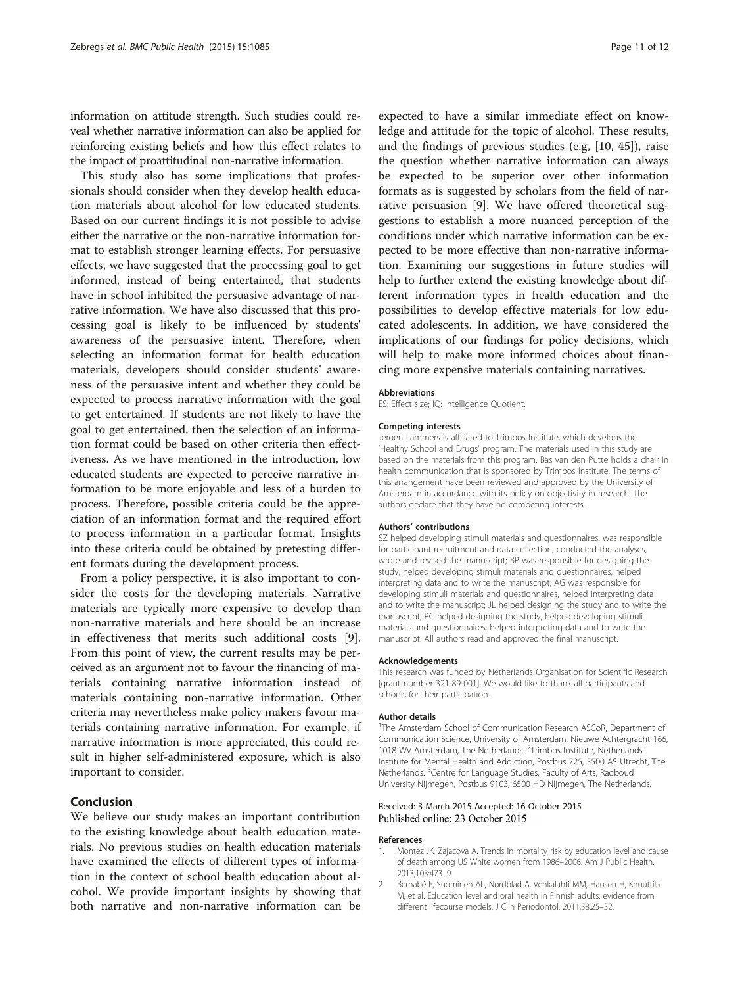<span id="page-11-0"></span>information on attitude strength. Such studies could reveal whether narrative information can also be applied for reinforcing existing beliefs and how this effect relates to the impact of proattitudinal non-narrative information.

This study also has some implications that professionals should consider when they develop health education materials about alcohol for low educated students. Based on our current findings it is not possible to advise either the narrative or the non-narrative information format to establish stronger learning effects. For persuasive effects, we have suggested that the processing goal to get informed, instead of being entertained, that students have in school inhibited the persuasive advantage of narrative information. We have also discussed that this processing goal is likely to be influenced by students' awareness of the persuasive intent. Therefore, when selecting an information format for health education materials, developers should consider students' awareness of the persuasive intent and whether they could be expected to process narrative information with the goal to get entertained. If students are not likely to have the goal to get entertained, then the selection of an information format could be based on other criteria then effectiveness. As we have mentioned in the introduction, low educated students are expected to perceive narrative information to be more enjoyable and less of a burden to process. Therefore, possible criteria could be the appreciation of an information format and the required effort to process information in a particular format. Insights into these criteria could be obtained by pretesting different formats during the development process.

From a policy perspective, it is also important to consider the costs for the developing materials. Narrative materials are typically more expensive to develop than non-narrative materials and here should be an increase in effectiveness that merits such additional costs [\[9](#page-12-0)]. From this point of view, the current results may be perceived as an argument not to favour the financing of materials containing narrative information instead of materials containing non-narrative information. Other criteria may nevertheless make policy makers favour materials containing narrative information. For example, if narrative information is more appreciated, this could result in higher self-administered exposure, which is also important to consider.

#### Conclusion

We believe our study makes an important contribution to the existing knowledge about health education materials. No previous studies on health education materials have examined the effects of different types of information in the context of school health education about alcohol. We provide important insights by showing that both narrative and non-narrative information can be expected to have a similar immediate effect on knowledge and attitude for the topic of alcohol. These results, and the findings of previous studies (e.g, [\[10, 45\]](#page-12-0)), raise the question whether narrative information can always be expected to be superior over other information formats as is suggested by scholars from the field of narrative persuasion [[9](#page-12-0)]. We have offered theoretical suggestions to establish a more nuanced perception of the conditions under which narrative information can be expected to be more effective than non-narrative information. Examining our suggestions in future studies will help to further extend the existing knowledge about different information types in health education and the possibilities to develop effective materials for low educated adolescents. In addition, we have considered the implications of our findings for policy decisions, which will help to make more informed choices about financing more expensive materials containing narratives.

#### Abbreviations

ES: Effect size; IQ: Intelligence Quotient.

#### Competing interests

Jeroen Lammers is affiliated to Trimbos Institute, which develops the 'Healthy School and Drugs' program. The materials used in this study are based on the materials from this program. Bas van den Putte holds a chair in health communication that is sponsored by Trimbos Institute. The terms of this arrangement have been reviewed and approved by the University of Amsterdam in accordance with its policy on objectivity in research. The authors declare that they have no competing interests.

#### Authors' contributions

SZ helped developing stimuli materials and questionnaires, was responsible for participant recruitment and data collection, conducted the analyses, wrote and revised the manuscript; BP was responsible for designing the study, helped developing stimuli materials and questionnaires, helped interpreting data and to write the manuscript; AG was responsible for developing stimuli materials and questionnaires, helped interpreting data and to write the manuscript; JL helped designing the study and to write the manuscript; PC helped designing the study, helped developing stimuli materials and questionnaires, helped interpreting data and to write the manuscript. All authors read and approved the final manuscript.

#### Acknowledgements

This research was funded by Netherlands Organisation for Scientific Research [grant number 321-89-001]. We would like to thank all participants and schools for their participation.

#### Author details

<sup>1</sup>The Amsterdam School of Communication Research ASCoR, Department of Communication Science, University of Amsterdam, Nieuwe Achtergracht 166, 1018 WV Amsterdam, The Netherlands. <sup>2</sup>Trimbos Institute, Netherlands Institute for Mental Health and Addiction, Postbus 725, 3500 AS Utrecht, The Netherlands. <sup>3</sup>Centre for Language Studies, Faculty of Arts, Radboud University Nijmegen, Postbus 9103, 6500 HD Nijmegen, The Netherlands.

#### Received: 3 March 2015 Accepted: 16 October 2015 Published online: 23 October 2015

#### References

- 1. Montez JK, Zajacova A. Trends in mortality risk by education level and cause of death among US White women from 1986–2006. Am J Public Health. 2013;103:473–9.
- 2. Bernabé E, Suominen AL, Nordblad A, Vehkalahti MM, Hausen H, Knuuttila M, et al. Education level and oral health in Finnish adults: evidence from different lifecourse models. J Clin Periodontol. 2011;38:25–32.